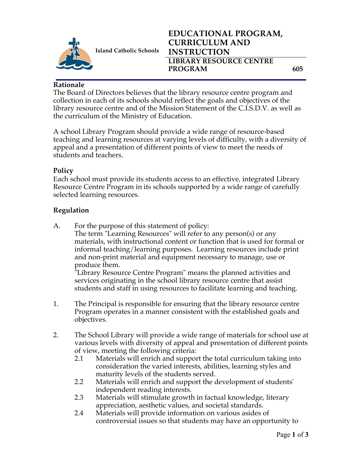

**Island Catholic Schools** 

# **EDUCATIONAL PROGRAM, CURRICULUM AND INSTRUCTION LIBRARY RESOURCE CENTRE**  PROGRAM 605

#### **Rationale**

The Board of Directors believes that the library resource centre program and collection in each of its schools should reflect the goals and objectives of the library resource centre and of the Mission Statement of the C.I.S.D.V. as well as the curriculum of the Ministry of Education.

A school Library Program should provide a wide range of resource-based teaching and learning resources at varying levels of difficulty, with a diversity of appeal and a presentation of different points of view to meet the needs of students and teachers.

### **Policy**

Each school must provide its students access to an effective, integrated Library Resource Centre Program in its schools supported by a wide range of carefully selected learning resources.

### **Regulation**

A. For the purpose of this statement of policy:

The term "Learning Resources" will refer to any person(s) or any materials, with instructional content or function that is used for formal or informal teaching/learning purposes. Learning resources include print and non-print material and equipment necessary to manage, use or produce them.

"Library Resource Centre Program" means the planned activities and services originating in the school library resource centre that assist students and staff in using resources to facilitate learning and teaching.

- 1. The Principal is responsible for ensuring that the library resource centre Program operates in a manner consistent with the established goals and objectives.
- 2. The School Library will provide a wide range of materials for school use at various levels with diversity of appeal and presentation of different points of view, meeting the following criteria:<br>2.1 Materials will enrich and support
	- Materials will enrich and support the total curriculum taking into consideration the varied interests, abilities, learning styles and maturity levels of the students served.
	- 2.2 Materials will enrich and support the development of students' independent reading interests.
	- 2.3 Materials will stimulate growth in factual knowledge, literary appreciation, aesthetic values, and societal standards.
	- 2.4 Materials will provide information on various asides of controversial issues so that students may have an opportunity to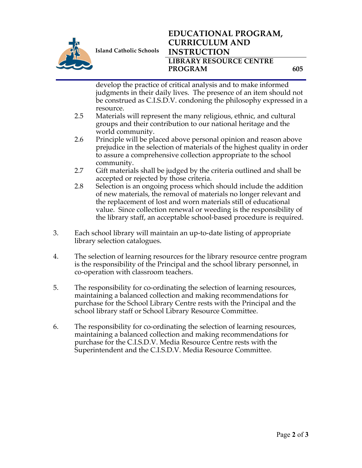

**Island Catholic Schools** 

# **EDUCATIONAL PROGRAM, CURRICULUM AND INSTRUCTION LIBRARY RESOURCE CENTRE**  PROGRAM 605

develop the practice of critical analysis and to make informed judgments in their daily lives. The presence of an item should not be construed as C.I.S.D.V. condoning the philosophy expressed in a resource.

- 2.5 Materials will represent the many religious, ethnic, and cultural groups and their contribution to our national heritage and the world community.
- 2.6 Principle will be placed above personal opinion and reason above prejudice in the selection of materials of the highest quality in order to assure a comprehensive collection appropriate to the school community.
- 2.7 Gift materials shall be judged by the criteria outlined and shall be accepted or rejected by those criteria.
- 2.8 Selection is an ongoing process which should include the addition of new materials, the removal of materials no longer relevant and the replacement of lost and worn materials still of educational value. Since collection renewal or weeding is the responsibility of the library staff, an acceptable school-based procedure is required.
- 3. Each school library will maintain an up-to-date listing of appropriate library selection catalogues.
- 4. The selection of learning resources for the library resource centre program is the responsibility of the Principal and the school library personnel, in co-operation with classroom teachers.
- 5. The responsibility for co-ordinating the selection of learning resources, maintaining a balanced collection and making recommendations for purchase for the School Library Centre rests with the Principal and the school library staff or School Library Resource Committee.
- 6. The responsibility for co-ordinating the selection of learning resources, maintaining a balanced collection and making recommendations for purchase for the C.I.S.D.V. Media Resource Centre rests with the Superintendent and the C.I.S.D.V. Media Resource Committee.